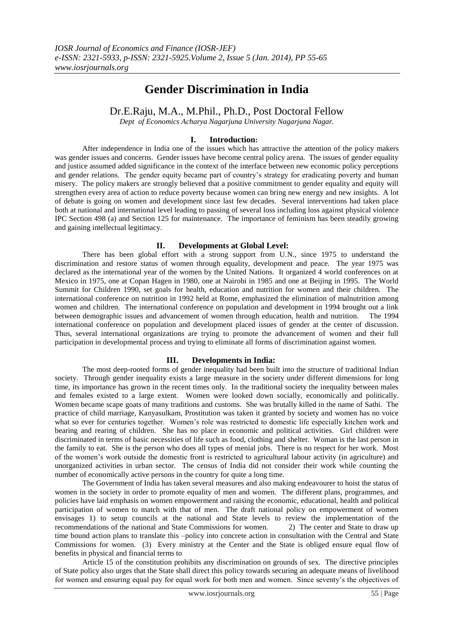# **Gender Discrimination in India**

Dr.E.Raju, M.A., M.Phil., Ph.D., Post Doctoral Fellow

*Dept of Economics Acharya Nagarjuna University Nagarjuna Nagar.*

# **I. Introduction:**

After independence in India one of the issues which has attractive the attention of the policy makers was gender issues and concerns. Gender issues have become central policy arena. The issues of gender equality and justice assumed added significance in the context of the interface between new economic policy perceptions and gender relations. The gender equity became part of country"s strategy for eradicating poverty and human misery. The policy makers are strongly believed that a positive commitment to gender equality and equity will strengthen every area of action to reduce poverty because women can bring new energy and new insights. A lot of debate is going on women and development since last few decades. Several interventions had taken place both at national and international level leading to passing of several loss including loss against physical violence IPC Section 498 (a) and Section 125 for maintenance. The importance of feminism has been steadily growing and gaining intellectual legitimacy.

# **II. Developments at Global Level:**

There has been global effort with a strong support from U.N., since 1975 to understand the discrimination and restore status of women through equality, development and peace. The year 1975 was declared as the international year of the women by the United Nations. It organized 4 world conferences on at Mexico in 1975, one at Copan Hagen in 1980, one at Nairobi in 1985 and one at Beijing in 1995. The World Summit for Children 1990, set goals for health, education and nutrition for women and their children. The international conference on nutrition in 1992 held at Rome, emphasized the elimination of malnutrition among women and children. The international conference on population and development in 1994 brought out a link between demographic issues and advancement of women through education, health and nutrition. The 1994 international conference on population and development placed issues of gender at the center of discussion. Thus, several international organizations are trying to promote the advancement of women and their full participation in developmental process and trying to eliminate all forms of discrimination against women.

# **III. Developments in India:**

The most deep-rooted forms of gender inequality had been built into the structure of traditional Indian society. Through gender inequality exists a large measure in the society under different dimensions for long time, its importance has grown in the recent times only. In the traditional society the inequality between males and females existed to a large extent. Women were looked down socially, economically and politically. Women became scape goats of many traditions and customs. She was brutally killed in the name of Sathi. The practice of child marriage, Kanyasulkam, Prostitution was taken it granted by society and women has no voice what so ever for centuries together. Women"s role was restricted to domestic life especially kitchen work and bearing and rearing of children. She has no place in economic and political activities. Girl children were discriminated in terms of basic necessities of life such as food, clothing and shelter. Woman is the last person in the family to eat. She is the person who does all types of menial jobs. There is no respect for her work. Most of the women"s work outside the domestic front is restricted to agricultural labour activity (in agriculture) and unorganized activities in urban sector. The census of India did not consider their work while counting the number of economically active persons in the country for quite a long time.

The Government of India has taken several measures and also making endeavourer to hoist the status of women in the society in order to promote equality of men and women. The different plans, programmes, and policies have laid emphasis on women empowerment and raising the economic, educational, health and political participation of women to match with that of men. The draft national policy on empowerment of women envisages 1) to setup councils at the national and State levels to review the implementation of the recommendations of the national and State Commissions for women. 2) The center and State to draw up time bound action plans to translate this –policy into concrete action in consultation with the Central and State Commissions for women. (3) Every ministry at the Center and the State is obliged ensure equal flow of benefits in physical and financial terms to

Article 15 of the constitution prohibits any discrimination on grounds of sex. The directive principles of State policy also urges that the State shall direct this policy towards securing an adequate means of livelihood for women and ensuring equal pay for equal work for both men and women. Since seventy"s the objectives of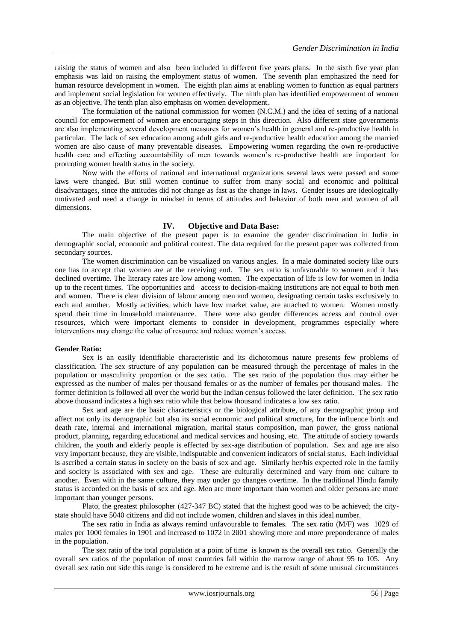raising the status of women and also been included in different five years plans. In the sixth five year plan emphasis was laid on raising the employment status of women. The seventh plan emphasized the need for human resource development in women. The eighth plan aims at enabling women to function as equal partners and implement social legislation for women effectively. The ninth plan has identified empowerment of women as an objective. The tenth plan also emphasis on women development.

The formulation of the national commission for women (N.C.M.) and the idea of setting of a national council for empowerment of women are encouraging steps in this direction. Also different state governments are also implementing several development measures for women"s health in general and re-productive health in particular. The lack of sex education among adult girls and re-productive health education among the married women are also cause of many preventable diseases. Empowering women regarding the own re-productive health care and effecting accountability of men towards women"s re-productive health are important for promoting women health status in the society.

Now with the efforts of national and international organizations several laws were passed and some laws were changed. But still women continue to suffer from many social and economic and political disadvantages, since the attitudes did not change as fast as the change in laws. Gender issues are ideologically motivated and need a change in mindset in terms of attitudes and behavior of both men and women of all dimensions.

## **IV. Objective and Data Base:**

The main objective of the present paper is to examine the gender discrimination in India in demographic social, economic and political context. The data required for the present paper was collected from secondary sources.

The women discrimination can be visualized on various angles. In a male dominated society like ours one has to accept that women are at the receiving end. The sex ratio is unfavorable to women and it has declined overtime. The literacy rates are low among women. The expectation of life is low for women in India up to the recent times. The opportunities and access to decision-making institutions are not equal to both men and women. There is clear division of labour among men and women, designating certain tasks exclusively to each and another. Mostly activities, which have low market value, are attached to women. Women mostly spend their time in household maintenance. There were also gender differences access and control over resources, which were important elements to consider in development, programmes especially where interventions may change the value of resource and reduce women"s access.

#### **Gender Ratio:**

Sex is an easily identifiable characteristic and its dichotomous nature presents few problems of classification. The sex structure of any population can be measured through the percentage of males in the population or masculinity proportion or the sex ratio. The sex ratio of the population thus may either be expressed as the number of males per thousand females or as the number of females per thousand males. The former definition is followed all over the world but the Indian census followed the later definition. The sex ratio above thousand indicates a high sex ratio while that below thousand indicates a low sex ratio.

Sex and age are the basic characteristics or the biological attribute, of any demographic group and affect not only its demographic but also its social economic and political structure, for the influence birth and death rate, internal and international migration, marital status composition, man power, the gross national product, planning, regarding educational and medical services and housing, etc. The attitude of society towards children, the youth and elderly people is effected by sex-age distribution of population. Sex and age are also very important because, they are visible, indisputable and convenient indicators of social status. Each individual is ascribed a certain status in society on the basis of sex and age. Similarly her/his expected role in the family and society is associated with sex and age. These are culturally determined and vary from one culture to another. Even with in the same culture, they may under go changes overtime. In the traditional Hindu family status is accorded on the basis of sex and age. Men are more important than women and older persons are more important than younger persons.

Plato, the greatest philosopher (427-347 BC) stated that the highest good was to be achieved; the citystate should have 5040 citizens and did not include women, children and slaves in this ideal number.

The sex ratio in India as always remind unfavourable to females. The sex ratio (M/F) was 1029 of males per 1000 females in 1901 and increased to 1072 in 2001 showing more and more preponderance of males in the population.

The sex ratio of the total population at a point of time is known as the overall sex ratio. Generally the overall sex ratios of the population of most countries fall within the narrow range of about 95 to 105. Any overall sex ratio out side this range is considered to be extreme and is the result of some unusual circumstances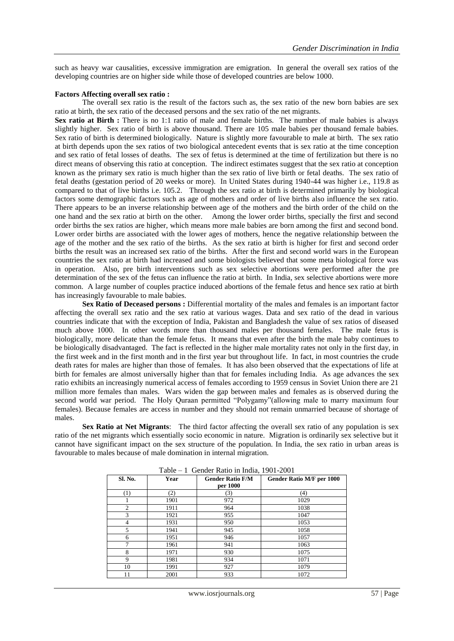such as heavy war causalities, excessive immigration are emigration. In general the overall sex ratios of the developing countries are on higher side while those of developed countries are below 1000.

#### **Factors Affecting overall sex ratio :**

The overall sex ratio is the result of the factors such as, the sex ratio of the new born babies are sex ratio at birth, the sex ratio of the deceased persons and the sex ratio of the net migrants.

**Sex ratio at Birth :** There is no 1:1 ratio of male and female births. The number of male babies is always slightly higher. Sex ratio of birth is above thousand. There are 105 male babies per thousand female babies. Sex ratio of birth is determined biologically. Nature is slightly more favourable to male at birth. The sex ratio at birth depends upon the sex ratios of two biological antecedent events that is sex ratio at the time conception and sex ratio of fetal losses of deaths. The sex of fetus is determined at the time of fertilization but there is no direct means of observing this ratio at conception. The indirect estimates suggest that the sex ratio at conception known as the primary sex ratio is much higher than the sex ratio of live birth or fetal deaths. The sex ratio of fetal deaths (gestation period of 20 weeks or more). In United States during 1940-44 was higher i.e., 119.8 as compared to that of live births i.e. 105.2. Through the sex ratio at birth is determined primarily by biological factors some demographic factors such as age of mothers and order of live births also influence the sex ratio. There appears to be an inverse relationship between age of the mothers and the birth order of the child on the one hand and the sex ratio at birth on the other. Among the lower order births, specially the first and second order births the sex ratios are higher, which means more male babies are born among the first and second bond. Lower order births are associated with the lower ages of mothers, hence the negative relationship between the age of the mother and the sex ratio of the births. As the sex ratio at birth is higher for first and second order births the result was an increased sex ratio of the births. After the first and second world wars in the European countries the sex ratio at birth had increased and some biologists believed that some meta biological force was in operation. Also, pre birth interventions such as sex selective abortions were performed after the pre determination of the sex of the fetus can influence the ratio at birth. In India, sex selective abortions were more common. A large number of couples practice induced abortions of the female fetus and hence sex ratio at birth has increasingly favourable to male babies.

**Sex Ratio of Deceased persons :** Differential mortality of the males and females is an important factor affecting the overall sex ratio and the sex ratio at various wages. Data and sex ratio of the dead in various countries indicate that with the exception of India, Pakistan and Bangladesh the value of sex ratios of diseased much above 1000. In other words more than thousand males per thousand females. The male fetus is biologically, more delicate than the female fetus. It means that even after the birth the male baby continues to be biologically disadvantaged. The fact is reflected in the higher male mortality rates not only in the first day, in the first week and in the first month and in the first year but throughout life. In fact, in most countries the crude death rates for males are higher than those of females. It has also been observed that the expectations of life at birth for females are almost universally higher than that for females including India. As age advances the sex ratio exhibits an increasingly numerical access of females according to 1959 census in Soviet Union there are 21 million more females than males. Wars widen the gap between males and females as is observed during the second world war period. The Holy Quraan permitted "Polygamy"(allowing male to marry maximum four females). Because females are access in number and they should not remain unmarried because of shortage of males.

**Sex Ratio at Net Migrants**: The third factor affecting the overall sex ratio of any population is sex ratio of the net migrants which essentially socio economic in nature. Migration is ordinarily sex selective but it cannot have significant impact on the sex structure of the population. In India, the sex ratio in urban areas is favourable to males because of male domination in internal migration.

| Sl. No.        | Year | <b>Gender Ratio F/M</b><br>per 1000 | Gender Ratio M/F per 1000 |
|----------------|------|-------------------------------------|---------------------------|
| (1)            | (2)  | (3)                                 | (4)                       |
|                | 1901 | 972                                 | 1029                      |
| $\overline{2}$ | 1911 | 964                                 | 1038                      |
| 3              | 1921 | 955                                 | 1047                      |
| $\overline{4}$ | 1931 | 950                                 | 1053                      |
| 5              | 1941 | 945                                 | 1058                      |
| 6              | 1951 | 946                                 | 1057                      |
| 7              | 1961 | 941                                 | 1063                      |
| 8              | 1971 | 930                                 | 1075                      |
| 9              | 1981 | 934                                 | 1071                      |
| 10             | 1991 | 927                                 | 1079                      |
| 11             | 2001 | 933                                 | 1072                      |

Table – 1 Gender Ratio in India, 1901-2001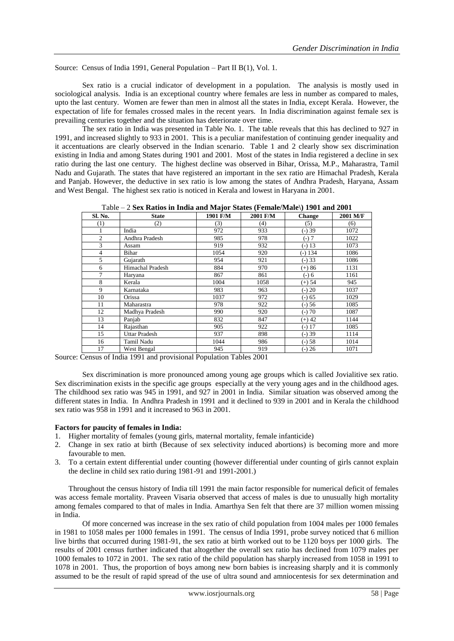Source: Census of India 1991, General Population – Part II B(1), Vol. 1.

Sex ratio is a crucial indicator of development in a population. The analysis is mostly used in sociological analysis. India is an exceptional country where females are less in number as compared to males, upto the last century. Women are fewer than men in almost all the states in India, except Kerala. However, the expectation of life for females crossed males in the recent years. In India discrimination against female sex is prevailing centuries together and the situation has deteriorate over time.

The sex ratio in India was presented in Table No. 1. The table reveals that this has declined to 927 in 1991, and increased slightly to 933 in 2001. This is a peculiar manifestation of continuing gender inequality and it accentuations are clearly observed in the Indian scenario. Table 1 and 2 clearly show sex discrimination existing in India and among States during 1901 and 2001. Most of the states in India registered a decline in sex ratio during the last one century. The highest decline was observed in Bihar, Orissa, M.P., Maharastra, Tamil Nadu and Gujarath. The states that have registered an important in the sex ratio are Himachal Pradesh, Kerala and Panjab. However, the deductive in sex ratio is low among the states of Andhra Pradesh, Haryana, Assam and West Bengal. The highest sex ratio is noticed in Kerala and lowest in Haryana in 2001.

| Sl. No.        | <b>State</b>            | 1901 F/M | 2001 F/M | <b>Change</b> | 2001 M/F |
|----------------|-------------------------|----------|----------|---------------|----------|
| (1)            | (2)                     | (3)      | (4)      | (5)           | (6)      |
|                | India                   | 972      | 933      | $(-)39$       | 1072     |
| $\overline{2}$ | Andhra Pradesh          | 985      | 978      | $(-)7$        | 1022     |
| 3              | Assam                   | 919      | 932      | $(-) 13$      | 1073     |
| $\overline{4}$ | Bihar                   | 1054     | 920      | $(-) 134$     | 1086     |
| 5              | Gujarath                | 954      | 921      | $(-) 33$      | 1086     |
| 6              | <b>Himachal Pradesh</b> | 884      | 970      | $(+) 86$      | 1131     |
| 7              | Haryana                 | 867      | 861      | $(-) 6$       | 1161     |
| 8              | Kerala                  | 1004     | 1058     | $(+) 54$      | 945      |
| 9              | Karnataka               | 983      | 963      | $(-) 20$      | 1037     |
| 10             | Orissa                  | 1037     | 972      | $(-) 65$      | 1029     |
| 11             | Maharastra              | 978      | 922      | $(-) 56$      | 1085     |
| 12             | Madhya Pradesh          | 990      | 920      | $(-)70$       | 1087     |
| 13             | Panjab                  | 832      | 847      | $(+) 42$      | 1144     |
| 14             | Rajasthan               | 905      | 922      | $(-) 17$      | 1085     |
| 15             | <b>Uttar Pradesh</b>    | 937      | 898      | $(-)39$       | 1114     |
| 16             | Tamil Nadu              | 1044     | 986      | $(-) 58$      | 1014     |
| 17             | West Bengal             | 945      | 919      | $(-) 26$      | 1071     |

Table – 2 **Sex Ratios in India and Major States (Female/Male\) 1901 and 2001**

Source: Census of India 1991 and provisional Population Tables 2001

Sex discrimination is more pronounced among young age groups which is called Jovialitive sex ratio. Sex discrimination exists in the specific age groups especially at the very young ages and in the childhood ages. The childhood sex ratio was 945 in 1991, and 927 in 2001 in India. Similar situation was observed among the different states in India. In Andhra Pradesh in 1991 and it declined to 939 in 2001 and in Kerala the childhood sex ratio was 958 in 1991 and it increased to 963 in 2001.

#### **Factors for paucity of females in India:**

- 1. Higher mortality of females (young girls, maternal mortality, female infanticide)
- 2. Change in sex ratio at birth (Because of sex selectivity induced abortions) is becoming more and more favourable to men.
- 3. To a certain extent differential under counting (however differential under counting of girls cannot explain the decline in child sex ratio during 1981-91 and 1991-2001.)

Throughout the census history of India till 1991 the main factor responsible for numerical deficit of females was access female mortality. Praveen Visaria observed that access of males is due to unusually high mortality among females compared to that of males in India. Amarthya Sen felt that there are 37 million women missing in India.

Of more concerned was increase in the sex ratio of child population from 1004 males per 1000 females in 1981 to 1058 males per 1000 females in 1991. The census of India 1991, probe survey noticed that 6 million live births that occurred during 1981-91, the sex ratio at birth worked out to be 1120 boys per 1000 girls. The results of 2001 census further indicated that altogether the overall sex ratio has declined from 1079 males per 1000 females to 1072 in 2001. The sex ratio of the child population has sharply increased from 1058 in 1991 to 1078 in 2001. Thus, the proportion of boys among new born babies is increasing sharply and it is commonly assumed to be the result of rapid spread of the use of ultra sound and amniocentesis for sex determination and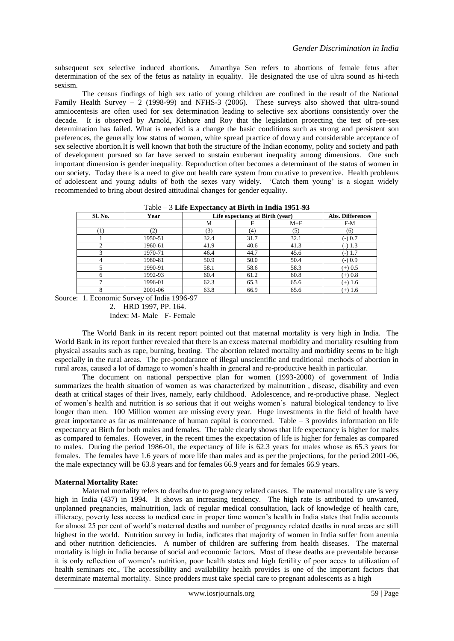subsequent sex selective induced abortions. Amarthya Sen refers to abortions of female fetus after determination of the sex of the fetus as natality in equality. He designated the use of ultra sound as hi-tech sexism.

The census findings of high sex ratio of young children are confined in the result of the National Family Health Survey – 2 (1998-99) and NFHS-3 (2006). These surveys also showed that ultra-sound amniocentesis are often used for sex determination leading to selective sex abortions consistently over the decade. It is observed by Arnold, Kishore and Roy that the legislation protecting the test of pre-sex determination has failed. What is needed is a change the basic conditions such as strong and persistent son preferences, the generally low status of women, white spread practice of dowry and considerable acceptance of sex selective abortion.It is well known that both the structure of the Indian economy, polity and society and path of development pursued so far have served to sustain exuberant inequality among dimensions. One such important dimension is gender inequality. Reproduction often becomes a determinant of the status of women in our society. Today there is a need to give out health care system from curative to preventive. Health problems of adolescent and young adults of both the sexes vary widely. "Catch them young" is a slogan widely recommended to bring about desired attitudinal changes for gender equality.

| 1 aviv<br>$\sigma$ Life Expectancy at Different in Highland $\sigma$ |         |                                 |                  |       |           |  |  |  |  |  |
|----------------------------------------------------------------------|---------|---------------------------------|------------------|-------|-----------|--|--|--|--|--|
| Sl. No.                                                              | Year    | Life expectancy at Birth (year) | Abs. Differences |       |           |  |  |  |  |  |
|                                                                      |         | М                               |                  | $M+F$ | $F-M$     |  |  |  |  |  |
|                                                                      |         | (3)                             | (4)              | (5)   | (6)       |  |  |  |  |  |
|                                                                      | 1950-51 | 32.4                            | 31.7             | 32.1  | $(-) 0.7$ |  |  |  |  |  |
|                                                                      | 1960-61 | 41.9                            | 40.6             | 41.3  | $(-) 1.3$ |  |  |  |  |  |
|                                                                      | 1970-71 | 46.4                            | 44.7             | 45.6  | $(-) 1.7$ |  |  |  |  |  |
|                                                                      | 1980-81 | 50.9                            | 50.0             | 50.4  | $(-) 0.9$ |  |  |  |  |  |
|                                                                      | 1990-91 | 58.1                            | 58.6             | 58.3  | $(+) 0.5$ |  |  |  |  |  |
| h.                                                                   | 1992-93 | 60.4                            | 61.2             | 60.8  | $(+) 0.8$ |  |  |  |  |  |
|                                                                      | 1996-01 | 62.3                            | 65.3             | 65.6  | $(+)$ 1.6 |  |  |  |  |  |
|                                                                      | 2001-06 | 63.8                            | 66.9             | 65.6  | $(+)$ 1.6 |  |  |  |  |  |

Table – 3 **Life Expectancy at Birth in India 1951-93**

Source: 1. Economic Survey of India 1996-97

2. HRD 1997, PP. 164. Index: M- Male F- Female

The World Bank in its recent report pointed out that maternal mortality is very high in India. The World Bank in its report further revealed that there is an excess maternal morbidity and mortality resulting from physical assaults such as rape, burning, beating. The abortion related mortality and morbidity seems to be high especially in the rural areas. The pre-pondarance of illegal unscientific and traditional methods of abortion in rural areas, caused a lot of damage to women"s health in general and re-productive health in particular.

The document on national perspective plan for women (1993-2000) of government of India summarizes the health situation of women as was characterized by malnutrition , disease, disability and even death at critical stages of their lives, namely, early childhood. Adolescence, and re-productive phase. Neglect of women"s health and nutrition is so serious that it out weighs women"s natural biological tendency to live longer than men. 100 Million women are missing every year. Huge investments in the field of health have great importance as far as maintenance of human capital is concerned. Table  $-3$  provides information on life expectancy at Birth for both males and females. The table clearly shows that life expectancy is higher for males as compared to females. However, in the recent times the expectation of life is higher for females as compared to males. During the period 1986-01, the expectancy of life is 62.3 years for males whose as 65.3 years for females. The females have 1.6 years of more life than males and as per the projections, for the period 2001-06, the male expectancy will be 63.8 years and for females 66.9 years and for females 66.9 years.

# **Maternal Mortality Rate:**

Maternal mortality refers to deaths due to pregnancy related causes. The maternal mortality rate is very high in India (437) in 1994. It shows an increasing tendency. The high rate is attributed to unwanted, unplanned pregnancies, malnutrition, lack of regular medical consultation, lack of knowledge of health care, illiteracy, poverty less access to medical care in proper time women"s health in India states that India accounts for almost 25 per cent of world"s maternal deaths and number of pregnancy related deaths in rural areas are still highest in the world. Nutrition survey in India, indicates that majority of women in India suffer from anemia and other nutrition deficiencies. A number of children are suffering from health diseases. The maternal mortality is high in India because of social and economic factors. Most of these deaths are preventable because it is only reflection of women"s nutrition, poor health states and high fertility of poor acces to utilization of health seminars etc., The accessibility and availability health provides is one of the important factors that determinate maternal mortality. Since prodders must take special care to pregnant adolescents as a high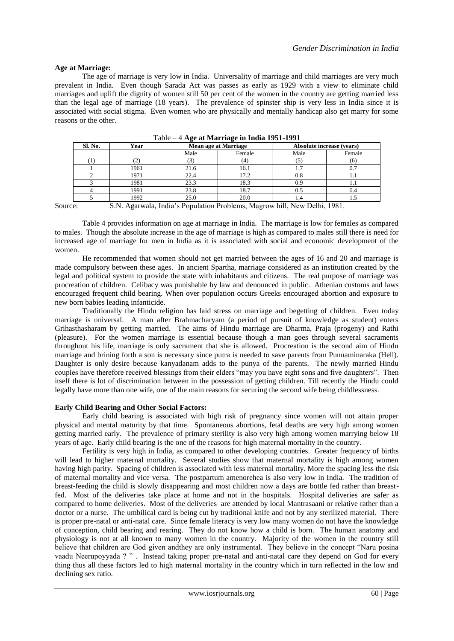## **Age at Marriage:**

The age of marriage is very low in India. Universality of marriage and child marriages are very much prevalent in India. Even though Sarada Act was passes as early as 1929 with a view to eliminate child marriages and uplift the dignity of women still 50 per cent of the women in the country are getting married less than the legal age of marriage (18 years). The prevalence of spinster ship is very less in India since it is associated with social stigma. Even women who are physically and mentally handicap also get marry for some reasons or the other.

| Sl. No. | Year | <b>Mean age at Marriage</b> |        |      | Absolute increase (years) |
|---------|------|-----------------------------|--------|------|---------------------------|
|         |      | Male                        | Female | Male | Female                    |
|         |      |                             | ٠4٠    |      | 61                        |
|         | 1961 | 21.6                        | 16.1   |      |                           |
|         | 1971 | 22.4                        | 17.2   | 0.8  |                           |
|         | 1981 | 23.3                        | 18.3   | 0.9  |                           |
|         | 1991 | 23.8                        | 18.7   | U.J  | V.4                       |
|         | 1992 | 25.0                        | 20.0   | ۰.,  |                           |

Table – 4 **Age at Marriage in India 1951-1991**

Source: S.N. Agarwala, India"s Population Problems, Magrow hill, New Delhi, 1981.

Table 4 provides information on age at marriage in India. The marriage is low for females as compared to males. Though the absolute increase in the age of marriage is high as compared to males still there is need for increased age of marriage for men in India as it is associated with social and economic development of the women.

He recommended that women should not get married between the ages of 16 and 20 and marriage is made compulsory between these ages. In ancient Spartha, marriage considered as an institution created by the legal and political system to provide the state with inhabitants and citizens. The real purpose of marriage was procreation of children. Celibacy was punishable by law and denounced in public. Athenian customs and laws encouraged frequent child bearing. When over population occurs Greeks encouraged abortion and exposure to new born babies leading infanticide.

Traditionally the Hindu religion has laid stress on marriage and begetting of children. Even today marriage is universal. A man after Brahmacharyam (a period of pursuit of knowledge as student) enters Grihasthasharam by getting married. The aims of Hindu marriage are Dharma, Praja (progeny) and Rathi (pleasure). For the women marriage is essential because though a man goes through several sacraments throughout his life, marriage is only sacrament that she is allowed. Procreation is the second aim of Hindu marriage and brining forth a son is necessary since putra is needed to save parents from Punnaminaraka (Hell). Daughter is only desire because kanyadanam adds to the punya of the parents. The newly married Hindu couples have therefore received blessings from their elders "may you have eight sons and five daughters". Then itself there is lot of discrimination between in the possession of getting children. Till recently the Hindu could legally have more than one wife, one of the main reasons for securing the second wife being childlessness.

# **Early Child Bearing and Other Social Factors:**

Early child bearing is associated with high risk of pregnancy since women will not attain proper physical and mental maturity by that time. Spontaneous abortions, fetal deaths are very high among women getting married early. The prevalence of primary sterility is also very high among women marrying below 18 years of age. Early child bearing is the one of the reasons for high maternal mortality in the country.

Fertility is very high in India, as compared to other developing countries. Greater frequency of births will lead to higher maternal mortality. Several studies show that maternal mortality is high among women having high parity. Spacing of children is associated with less maternal mortality. More the spacing less the risk of maternal mortality and vice versa. The postpartum amenorehea is also very low in India. The tradition of breast-feeding the child is slowly disappearing and most children now a days are bottle fed rather than breastfed. Most of the deliveries take place at home and not in the hospitals. Hospital deliveries are safer as compared to home deliveries. Most of the deliveries are attended by local Mantrasaani or relative rather than a doctor or a nurse. The umbilical card is being cut by traditional knife and not by any sterilized material. There is proper pre-natal or anti-natal care. Since female literacy is very low many women do not have the knowledge of conception, child bearing and rearing. They do not know how a child is born. The human anatomy and physiology is not at all known to many women in the country. Majority of the women in the country still believe that children are God given andthey are only instrumental. They believe in the concept "Naru posina vaadu Neerupoyyada ? " . Instead taking proper pre-natal and anti-natal care they depend on God for every thing thus all these factors led to high maternal mortality in the country which in turn reflected in the low and declining sex ratio.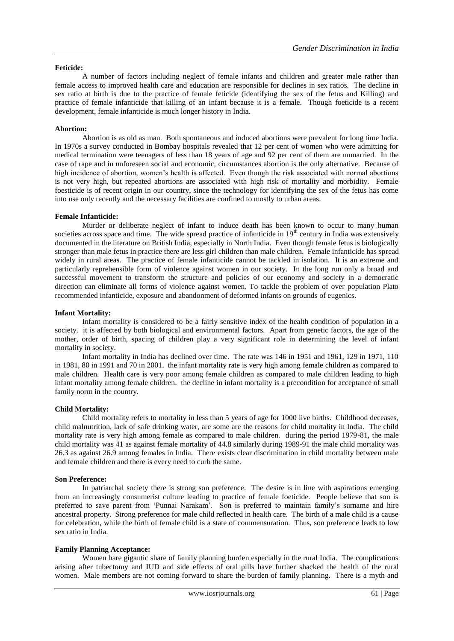# **Feticide:**

A number of factors including neglect of female infants and children and greater male rather than female access to improved health care and education are responsible for declines in sex ratios. The decline in sex ratio at birth is due to the practice of female feticide (identifying the sex of the fetus and Killing) and practice of female infanticide that killing of an infant because it is a female. Though foeticide is a recent development, female infanticide is much longer history in India.

# **Abortion:**

Abortion is as old as man. Both spontaneous and induced abortions were prevalent for long time India. In 1970s a survey conducted in Bombay hospitals revealed that 12 per cent of women who were admitting for medical termination were teenagers of less than 18 years of age and 92 per cent of them are unmarried. In the case of rape and in unforeseen social and economic, circumstances abortion is the only alternative. Because of high incidence of abortion, women"s health is affected. Even though the risk associated with normal abortions is not very high, but repeated abortions are associated with high risk of mortality and morbidity. Female foesticide is of recent origin in our country, since the technology for identifying the sex of the fetus has come into use only recently and the necessary facilities are confined to mostly to urban areas.

## **Female Infanticide:**

Murder or deliberate neglect of infant to induce death has been known to occur to many human societies across space and time. The wide spread practice of infanticide in  $19<sup>th</sup>$  century in India was extensively documented in the literature on British India, especially in North India. Even though female fetus is biologically stronger than male fetus in practice there are less girl children than male children. Female infanticide has spread widely in rural areas. The practice of female infanticide cannot be tackled in isolation. It is an extreme and particularly reprehensible form of violence against women in our society. In the long run only a broad and successful movement to transform the structure and policies of our economy and society in a democratic direction can eliminate all forms of violence against women. To tackle the problem of over population Plato recommended infanticide, exposure and abandonment of deformed infants on grounds of eugenics.

## **Infant Mortality:**

Infant mortality is considered to be a fairly sensitive index of the health condition of population in a society. it is affected by both biological and environmental factors. Apart from genetic factors, the age of the mother, order of birth, spacing of children play a very significant role in determining the level of infant mortality in society.

Infant mortality in India has declined over time. The rate was 146 in 1951 and 1961, 129 in 1971, 110 in 1981, 80 in 1991 and 70 in 2001. the infant mortality rate is very high among female children as compared to male children. Health care is very poor among female children as compared to male children leading to high infant mortality among female children. the decline in infant mortality is a precondition for acceptance of small family norm in the country.

# **Child Mortality:**

Child mortality refers to mortality in less than 5 years of age for 1000 live births. Childhood deceases, child malnutrition, lack of safe drinking water, are some are the reasons for child mortality in India. The child mortality rate is very high among female as compared to male children. during the period 1979-81, the male child mortality was 41 as against female mortality of 44.8 similarly during 1989-91 the male child mortality was 26.3 as against 26.9 among females in India. There exists clear discrimination in child mortality between male and female children and there is every need to curb the same.

#### **Son Preference:**

In patriarchal society there is strong son preference. The desire is in line with aspirations emerging from an increasingly consumerist culture leading to practice of female foeticide. People believe that son is preferred to save parent from 'Punnai Narakam'. Son is preferred to maintain family's surname and hire ancestral property. Strong preference for male child reflected in health care. The birth of a male child is a cause for celebration, while the birth of female child is a state of commensuration. Thus, son preference leads to low sex ratio in India.

# **Family Planning Acceptance:**

Women bare gigantic share of family planning burden especially in the rural India. The complications arising after tubectomy and IUD and side effects of oral pills have further shacked the health of the rural women. Male members are not coming forward to share the burden of family planning. There is a myth and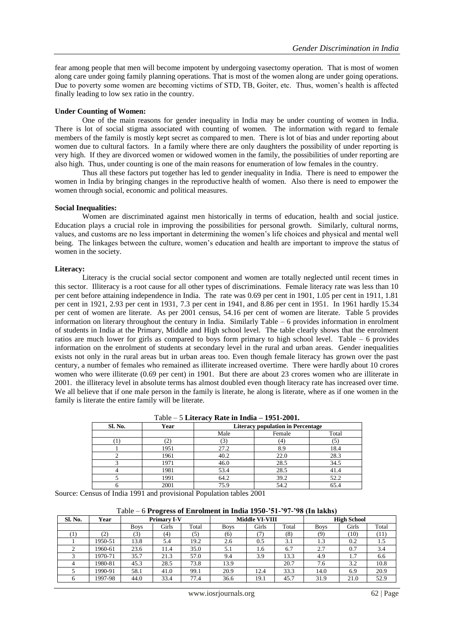fear among people that men will become impotent by undergoing vasectomy operation. That is most of women along care under going family planning operations. That is most of the women along are under going operations. Due to poverty some women are becoming victims of STD, TB, Goiter, etc. Thus, women"s health is affected finally leading to low sex ratio in the country.

#### **Under Counting of Women:**

One of the main reasons for gender inequality in India may be under counting of women in India. There is lot of social stigma associated with counting of women. The information with regard to female members of the family is mostly kept secret as compared to men. There is lot of bias and under reporting about women due to cultural factors. In a family where there are only daughters the possibility of under reporting is very high. If they are divorced women or widowed women in the family, the possibilities of under reporting are also high. Thus, under counting is one of the main reasons for enumeration of low females in the country.

Thus all these factors put together has led to gender inequality in India. There is need to empower the women in India by bringing changes in the reproductive health of women. Also there is need to empower the women through social, economic and political measures.

#### **Social Inequalities:**

Women are discriminated against men historically in terms of education, health and social justice. Education plays a crucial role in improving the possibilities for personal growth. Similarly, cultural norms, values, and customs are no less important in determining the women"s life choices and physical and mental well being. The linkages between the culture, women"s education and health are important to improve the status of women in the society.

#### **Literacy:**

Literacy is the crucial social sector component and women are totally neglected until recent times in this sector. Illiteracy is a root cause for all other types of discriminations. Female literacy rate was less than 10 per cent before attaining independence in India. The rate was 0.69 per cent in 1901, 1.05 per cent in 1911, 1.81 per cent in 1921, 2.93 per cent in 1931, 7.3 per cent in 1941, and 8.86 per cent in 1951. In 1961 hardly 15.34 per cent of women are literate. As per 2001 census, 54.16 per cent of women are literate. Table 5 provides information on literary throughout the century in India. Similarly Table – 6 provides information in enrolment of students in India at the Primary, Middle and High school level. The table clearly shows that the enrolment ratios are much lower for girls as compared to boys form primary to high school level. Table – 6 provides information on the enrolment of students at secondary level in the rural and urban areas. Gender inequalities exists not only in the rural areas but in urban areas too. Even though female literacy has grown over the past century, a number of females who remained as illiterate increased overtime. There were hardly about 10 crores women who were illiterate (0.69 per cent) in 1901. But there are about 23 crores women who are illiterate in 2001. the illiteracy level in absolute terms has almost doubled even though literacy rate has increased over time. We all believe that if one male person in the family is literate, he along is literate, where as if one women in the family is literate the entire family will be literate.

|         | $1$ ave $-$ 3 Literacy Nate in Higha $-$ 1731-2001. |                                          |        |       |  |  |  |  |  |
|---------|-----------------------------------------------------|------------------------------------------|--------|-------|--|--|--|--|--|
| Sl. No. | Year                                                | <b>Literacy population in Percentage</b> |        |       |  |  |  |  |  |
|         |                                                     | Male                                     | Female | Total |  |  |  |  |  |
|         |                                                     |                                          | (4.    |       |  |  |  |  |  |
|         | 1951                                                | 27.2                                     | 8.9    | 18.4  |  |  |  |  |  |
|         | 1961                                                | 40.2                                     | 22.0   | 28.3  |  |  |  |  |  |
|         | 1971                                                | 46.0                                     | 28.5   | 34.5  |  |  |  |  |  |
|         | 1981                                                | 53.4                                     | 28.5   | 41.4  |  |  |  |  |  |
|         | 1991                                                | 64.2                                     | 39.2   | 52.2  |  |  |  |  |  |
|         | 2001                                                | 75.9                                     | 54.2   | 65.4  |  |  |  |  |  |

Table – 5 **Literacy Rate in India – 1951-2001.**

Source: Census of India 1991 and provisional Population tables 2001

| Table – 6 Progress of Enrolment in India 1950-'51-'97-'98 (In lakhs) |  |  |
|----------------------------------------------------------------------|--|--|
|----------------------------------------------------------------------|--|--|

| Sl. No. | Year    |             | Primary I-V |       | Middle VI-VIII |       | <b>High School</b> |             |       |       |
|---------|---------|-------------|-------------|-------|----------------|-------|--------------------|-------------|-------|-------|
|         |         | <b>Boys</b> | Girls       | Total | <b>Boys</b>    | Girls | Total              | <b>Boys</b> | Girls | Total |
|         | (2)     | (3)         | (4)         | (5)   | (6)            |       | (8)                | (9)         | (10)  | (11)  |
|         | 1950-51 | 13.8        | 5.4         | 19.2  | 2.6            | 0.5   | 3.1                | 1.3         | 0.2   | 1.5   |
|         | 1960-61 | 23.6        | 11.4        | 35.0  | 5.1            | 1.6   | 6.7                | 2.7         | 0.7   | 3.4   |
|         | 1970-71 | 35.7        | 21.3        | 57.0  | 9.4            | 3.9   | 13.3               | 4.9         | 1.7   | 6.6   |
|         | 1980-81 | 45.3        | 28.5        | 73.8  | 13.9           |       | 20.7               | 7.6         | 3.2   | 10.8  |
|         | 1990-91 | 58.1        | 41.0        | 99.1  | 20.9           | 12.4  | 33.3               | 14.0        | 6.9   | 20.9  |
|         | 1997-98 | 44.0        | 33.4        | 77.4  | 36.6           | 19.1  | 45.7               | 31.9        | 21.0  | 52.9  |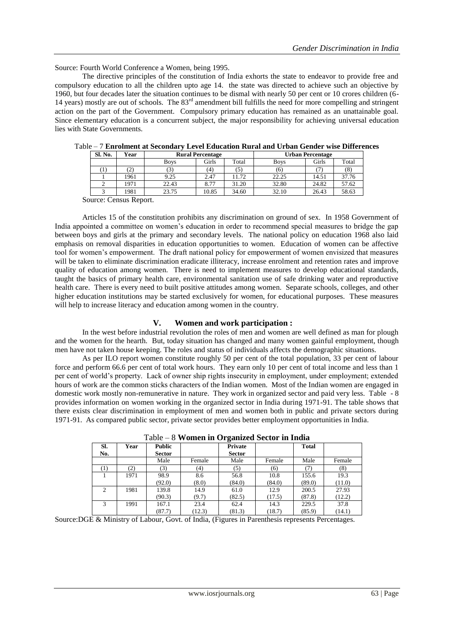Source: Fourth World Conference a Women, being 1995.

The directive principles of the constitution of India exhorts the state to endeavor to provide free and compulsory education to all the children upto age 14. the state was directed to achieve such an objective by 1960, but four decades later the situation continues to be dismal with nearly 50 per cent or 10 crores children (6- 14 years) mostly are out of schools. The 83rd amendment bill fulfills the need for more compelling and stringent action on the part of the Government. Compulsory primary education has remained as an unattainable goal. Since elementary education is a concurrent subject, the major responsibility for achieving universal education lies with State Governments.

| <b>Sl. No.</b> | Year                     | <b>Rural Percentage</b> |       |       |             | <b>Urban Percentage</b> |       |
|----------------|--------------------------|-------------------------|-------|-------|-------------|-------------------------|-------|
|                |                          | <b>Boys</b>             | Girls | Total | <b>Boys</b> | Girls                   | Total |
|                | ∠                        |                         | (4)   |       | (6)         |                         | (8)   |
|                | 1961                     | 9.25                    | 2.47  | 1.72  | 22.25       | 14.51                   | 37.76 |
|                | 1971                     | 22.43                   | 8.77  | 31.20 | 32.80       | 24.82                   | 57.62 |
|                | 1981                     | 23.75                   | 10.85 | 34.60 | 32.10       | 26.43                   | 58.63 |
| $\sim$         | $\overline{\phantom{a}}$ |                         |       |       |             |                         |       |

| Table - 7 Enrolment at Secondary Level Education Rural and Urban Gender wise Differences |  |  |
|------------------------------------------------------------------------------------------|--|--|
|------------------------------------------------------------------------------------------|--|--|

Source: Census Report.

Articles 15 of the constitution prohibits any discrimination on ground of sex. In 1958 Government of India appointed a committee on women"s education in order to recommend special measures to bridge the gap between boys and girls at the primary and secondary levels. The national policy on education 1968 also laid emphasis on removal disparities in education opportunities to women. Education of women can be affective tool for women"s empowerment. The draft national policy for empowerment of women envisized that measures will be taken to eliminate discrimination eradicate illiteracy, increase enrolment and retention rates and improve quality of education among women. There is need to implement measures to develop educational standards, taught the basics of primary health care, environmental sanitation use of safe drinking water and reproductive health care. There is every need to built positive attitudes among women. Separate schools, colleges, and other higher education institutions may be started exclusively for women, for educational purposes. These measures will help to increase literacy and education among women in the country.

# **V. Women and work participation :**

In the west before industrial revolution the roles of men and women are well defined as man for plough and the women for the hearth. But, today situation has changed and many women gainful employment, though men have not taken house keeping. The roles and status of individuals affects the demographic situations.

As per ILO report women constitute roughly 50 per cent of the total population, 33 per cent of labour force and perform 66.6 per cent of total work hours. They earn only 10 per cent of total income and less than 1 per cent of world"s property. Lack of owner ship rights insecurity in employment, under employment; extended hours of work are the common sticks characters of the Indian women. Most of the Indian women are engaged in domestic work mostly non-remunerative in nature. They work in organized sector and paid very less. Table - 8 provides information on women working in the organized sector in India during 1971-91. The table shows that there exists clear discrimination in employment of men and women both in public and private sectors during 1971-91. As compared public sector, private sector provides better employment opportunities in India.

|                     |      | ------                         |        |                                 | $\ldots$ can $\ldots$ $\ldots$ such that $\ldots$ is the set of $\ldots$ |              |                  |
|---------------------|------|--------------------------------|--------|---------------------------------|--------------------------------------------------------------------------|--------------|------------------|
| SI.<br>No.          | Year | <b>Public</b><br><b>Sector</b> |        | <b>Private</b><br><b>Sector</b> |                                                                          | <b>Total</b> |                  |
|                     |      | Male                           | Female | Male                            | Female                                                                   | Male         | Female           |
| $\scriptstyle{(1)}$ | (2)  | (3)                            | (4)    | (5)                             | (6)                                                                      |              | $\left(8\right)$ |
|                     | 1971 | 98.9                           | 8.6    | 56.8                            | 10.8                                                                     | 155.6        | 19.3             |
|                     |      | (92.0)                         | (8.0)  | (84.0)                          | (84.0)                                                                   | (89.0)       | (11.0)           |
| $\overline{c}$      | 1981 | 139.8                          | 14.9   | 61.0                            | 12.9                                                                     | 200.5        | 27.93            |
|                     |      | (90.3)                         | (9.7)  | (82.5)                          | (17.5)                                                                   | (87.8)       | (12.2)           |
| 3                   | 1991 | 167.1                          | 23.4   | 62.4                            | 14.3                                                                     | 229.5        | 37.8             |
|                     |      | (87.7)                         | (12.3) | (81.3)                          | (18.7)                                                                   | (85.9)       | (14.1)           |

Table – 8 **Women in Organized Sector in India**

Source:DGE & Ministry of Labour, Govt. of India, (Figures in Parenthesis represents Percentages.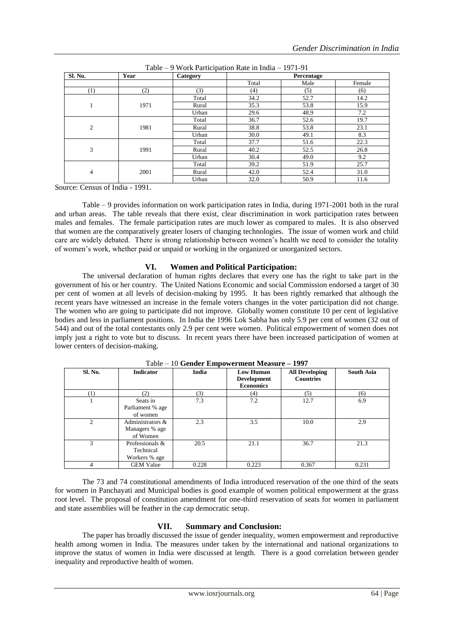| Sl. No.        | Year | Category | Percentage |      |        |  |
|----------------|------|----------|------------|------|--------|--|
|                |      |          | Total      | Male | Female |  |
| (1)            | (2)  | (3)      | (4)        | (5)  | (6)    |  |
|                |      | Total    | 34.2       | 52.7 | 14.2   |  |
| 1              | 1971 | Rural    | 35.3       | 53.8 | 15.9   |  |
|                |      | Urban    | 29.6       | 48.9 | 7.2    |  |
|                |      | Total    | 36.7       | 52.6 | 19.7   |  |
| $\overline{2}$ | 1981 | Rural    | 38.8       | 53.8 | 23.1   |  |
|                |      | Urban    | 30.0       | 49.1 | 8.3    |  |
|                |      | Total    | 37.7       | 51.6 | 22.3   |  |
| 3              | 1991 | Rural    | 40.2       | 52.5 | 26.8   |  |
|                |      | Urban    | 30.4       | 49.0 | 9.2    |  |
|                |      | Total    | 39.2       | 51.9 | 25.7   |  |
| 4              | 2001 | Rural    | 42.0       | 52.4 | 31.0   |  |
|                |      | Urban    | 32.0       | 50.9 | 11.6   |  |

Table – 9 Work Participation Rate in India – 1971-91

Source: Census of India - 1991.

Table – 9 provides information on work participation rates in India, during 1971-2001 both in the rural and urban areas. The table reveals that there exist, clear discrimination in work participation rates between males and females. The female participation rates are much lower as compared to males. It is also observed that women are the comparatively greater losers of changing technologies. The issue of women work and child care are widely debated. There is strong relationship between women"s health we need to consider the totality of women"s work, whether paid or unpaid or working in the organized or unorganized sectors.

# **VI. Women and Political Participation:**

The universal declaration of human rights declares that every one has the right to take part in the government of his or her country. The United Nations Economic and social Commission endorsed a target of 30 per cent of women at all levels of decision-making by 1995. It has been rightly remarked that although the recent years have witnessed an increase in the female voters changes in the voter participation did not change. The women who are going to participate did not improve. Globally women constitute 10 per cent of legislative bodies and less in parliament positions. In India the 1996 Lok Sabha has only 5.9 per cent of women (32 out of 544) and out of the total contestants only 2.9 per cent were women. Political empowerment of women does not imply just a right to vote but to discuss. In recent years there have been increased participation of women at lower centers of decision-making.

| Sl. No.        | <b>Indicator</b>                               | India | <b>Low Human</b><br><b>Development</b><br><b>Economics</b> | <b>All Developing</b><br><b>Countries</b> | <b>South Asia</b> |
|----------------|------------------------------------------------|-------|------------------------------------------------------------|-------------------------------------------|-------------------|
| (1)            | (2)                                            | (3)   | (4)                                                        | (5)                                       | (6)               |
|                | Seats in<br>Parliament % age<br>of women       | 7.3   | 7.2                                                        | 12.7                                      | 6.9               |
| $\mathfrak{D}$ | Administrators &<br>Managers % age<br>of Women | 2.3   | 3.5                                                        | 10.0                                      | 2.9               |
| 3              | Professionals &<br>Technical<br>Workers % age  | 20.5  | 21.1                                                       | 36.7                                      | 21.3              |
| 4              | <b>GEM Value</b>                               | 0.228 | 0.223                                                      | 0.367                                     | 0.231             |

Table – 10 **Gender Empowerment Measure – 1997**

The 73 and 74 constitutional amendments of India introduced reservation of the one third of the seats for women in Panchayati and Municipal bodies is good example of women political empowerment at the grass root level. The proposal of constitution amendment for one-third reservation of seats for women in parliament and state assemblies will be feather in the cap democratic setup.

# **VII. Summary and Conclusion:**

The paper has broadly discussed the issue of gender inequality, women empowerment and reproductive health among women in India. The measures under taken by the international and national organizations to improve the status of women in India were discussed at length. There is a good correlation between gender inequality and reproductive health of women.